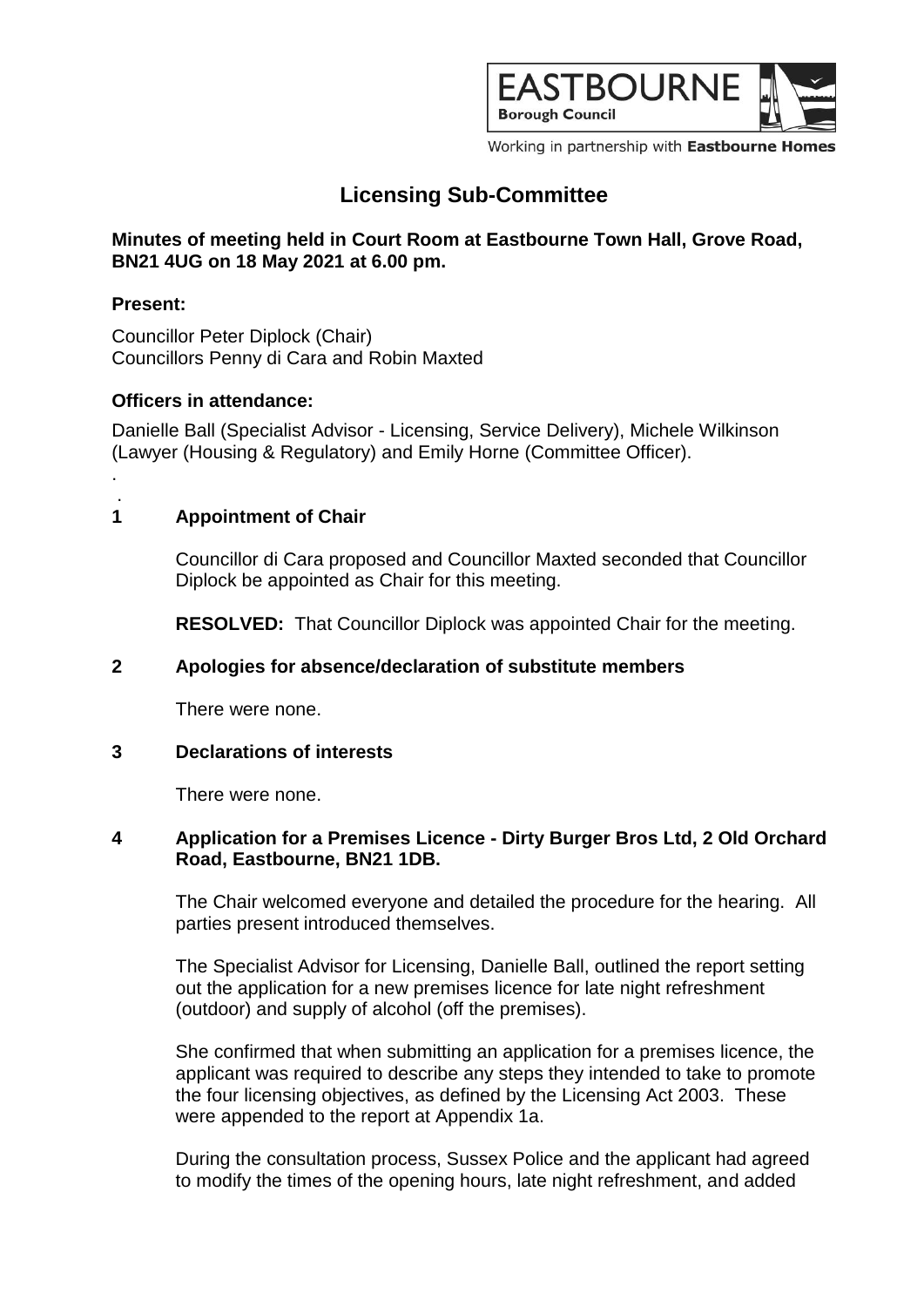

Working in partnership with Eastbourne Homes

# **Licensing Sub-Committee**

## **Minutes of meeting held in Court Room at Eastbourne Town Hall, Grove Road, BN21 4UG on 18 May 2021 at 6.00 pm.**

## **Present:**

.

Councillor Peter Diplock (Chair) Councillors Penny di Cara and Robin Maxted

## **Officers in attendance:**

Danielle Ball (Specialist Advisor - Licensing, Service Delivery), Michele Wilkinson (Lawyer (Housing & Regulatory) and Emily Horne (Committee Officer).

#### . **1 Appointment of Chair**

Councillor di Cara proposed and Councillor Maxted seconded that Councillor Diplock be appointed as Chair for this meeting.

**RESOLVED:** That Councillor Diplock was appointed Chair for the meeting.

## **2 Apologies for absence/declaration of substitute members**

There were none.

## **3 Declarations of interests**

There were none.

## **4 Application for a Premises Licence - Dirty Burger Bros Ltd, 2 Old Orchard Road, Eastbourne, BN21 1DB.**

The Chair welcomed everyone and detailed the procedure for the hearing. All parties present introduced themselves.

The Specialist Advisor for Licensing, Danielle Ball, outlined the report setting out the application for a new premises licence for late night refreshment (outdoor) and supply of alcohol (off the premises).

She confirmed that when submitting an application for a premises licence, the applicant was required to describe any steps they intended to take to promote the four licensing objectives, as defined by the Licensing Act 2003. These were appended to the report at Appendix 1a.

During the consultation process, Sussex Police and the applicant had agreed to modify the times of the opening hours, late night refreshment, and added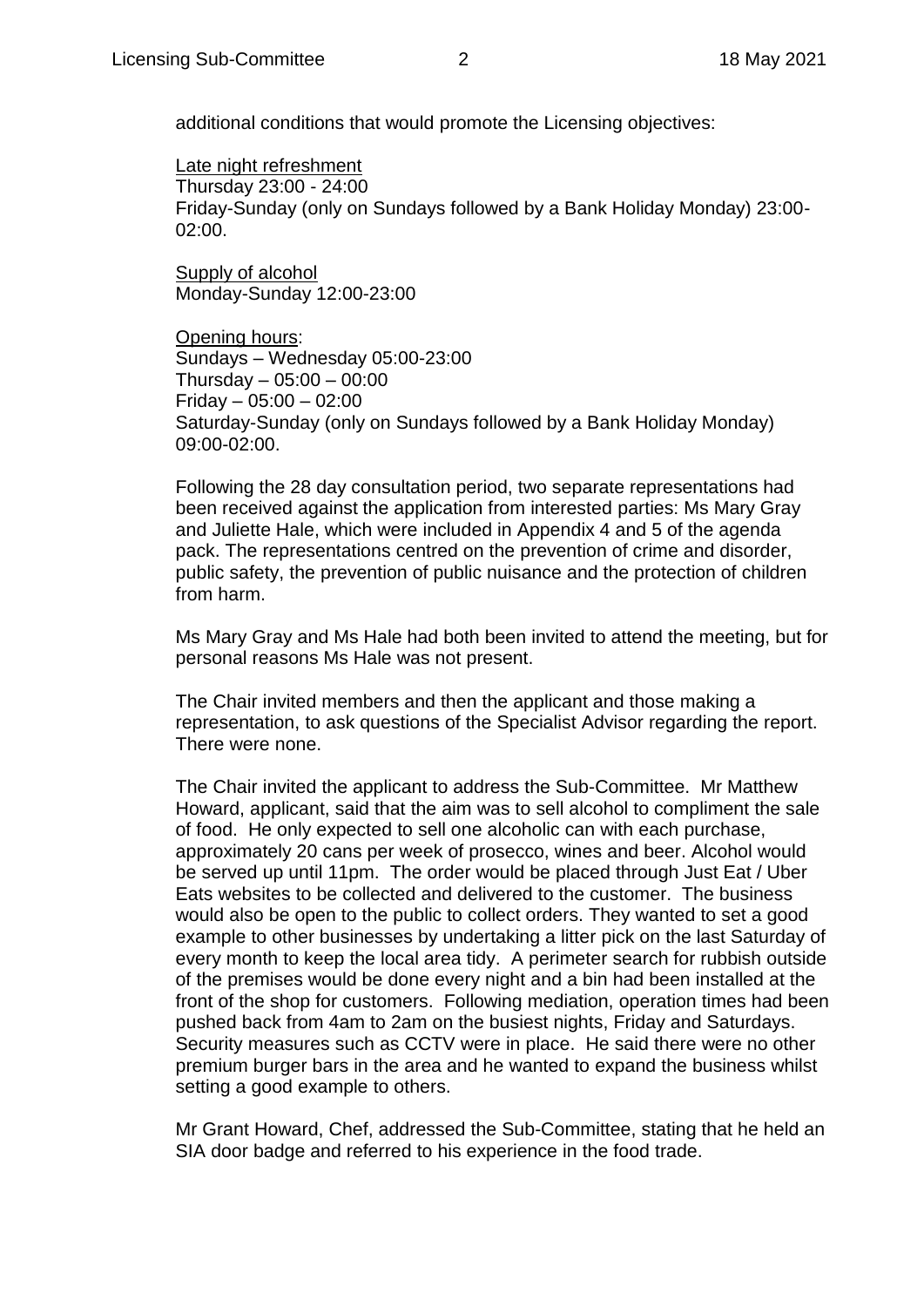additional conditions that would promote the Licensing objectives:

Late night refreshment Thursday 23:00 - 24:00 Friday-Sunday (only on Sundays followed by a Bank Holiday Monday) 23:00- 02:00.

Supply of alcohol Monday-Sunday 12:00-23:00

Opening hours: Sundays – Wednesday 05:00-23:00 Thursday  $-05:00 - 00:00$ Friday – 05:00 – 02:00 Saturday-Sunday (only on Sundays followed by a Bank Holiday Monday) 09:00-02:00.

Following the 28 day consultation period, two separate representations had been received against the application from interested parties: Ms Mary Gray and Juliette Hale, which were included in Appendix 4 and 5 of the agenda pack. The representations centred on the prevention of crime and disorder, public safety, the prevention of public nuisance and the protection of children from harm.

Ms Mary Gray and Ms Hale had both been invited to attend the meeting, but for personal reasons Ms Hale was not present.

The Chair invited members and then the applicant and those making a representation, to ask questions of the Specialist Advisor regarding the report. There were none.

The Chair invited the applicant to address the Sub-Committee. Mr Matthew Howard, applicant, said that the aim was to sell alcohol to compliment the sale of food. He only expected to sell one alcoholic can with each purchase, approximately 20 cans per week of prosecco, wines and beer. Alcohol would be served up until 11pm. The order would be placed through Just Eat / Uber Eats websites to be collected and delivered to the customer. The business would also be open to the public to collect orders. They wanted to set a good example to other businesses by undertaking a litter pick on the last Saturday of every month to keep the local area tidy. A perimeter search for rubbish outside of the premises would be done every night and a bin had been installed at the front of the shop for customers. Following mediation, operation times had been pushed back from 4am to 2am on the busiest nights, Friday and Saturdays. Security measures such as CCTV were in place. He said there were no other premium burger bars in the area and he wanted to expand the business whilst setting a good example to others.

Mr Grant Howard, Chef, addressed the Sub-Committee, stating that he held an SIA door badge and referred to his experience in the food trade.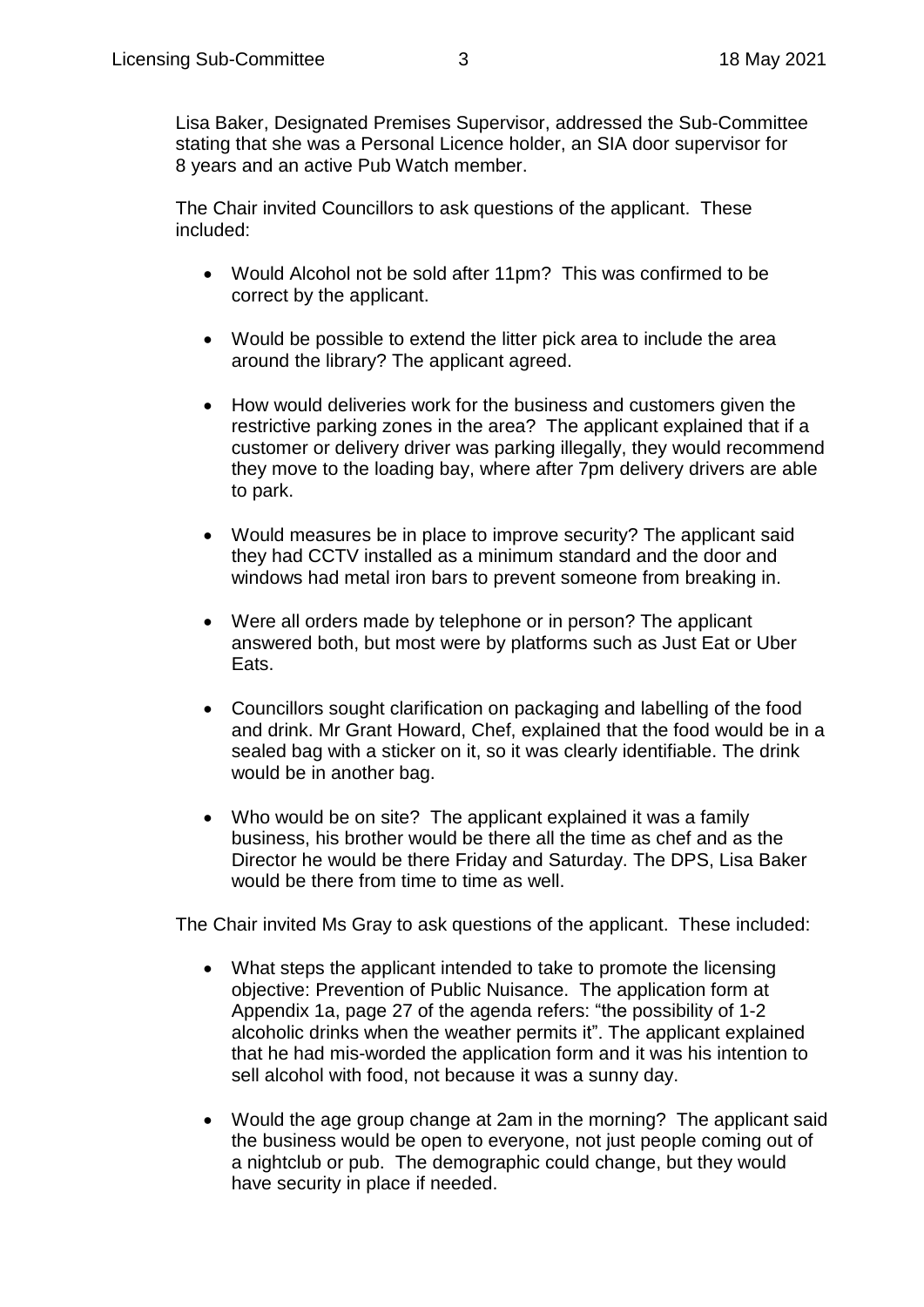Lisa Baker, Designated Premises Supervisor, addressed the Sub-Committee stating that she was a Personal Licence holder, an SIA door supervisor for 8 years and an active Pub Watch member.

The Chair invited Councillors to ask questions of the applicant. These included:

- Would Alcohol not be sold after 11pm? This was confirmed to be correct by the applicant.
- Would be possible to extend the litter pick area to include the area around the library? The applicant agreed.
- How would deliveries work for the business and customers given the restrictive parking zones in the area? The applicant explained that if a customer or delivery driver was parking illegally, they would recommend they move to the loading bay, where after 7pm delivery drivers are able to park.
- Would measures be in place to improve security? The applicant said they had CCTV installed as a minimum standard and the door and windows had metal iron bars to prevent someone from breaking in.
- Were all orders made by telephone or in person? The applicant answered both, but most were by platforms such as Just Eat or Uber Eats.
- Councillors sought clarification on packaging and labelling of the food and drink. Mr Grant Howard, Chef, explained that the food would be in a sealed bag with a sticker on it, so it was clearly identifiable. The drink would be in another bag.
- Who would be on site? The applicant explained it was a family business, his brother would be there all the time as chef and as the Director he would be there Friday and Saturday. The DPS, Lisa Baker would be there from time to time as well.

The Chair invited Ms Gray to ask questions of the applicant. These included:

- What steps the applicant intended to take to promote the licensing objective: Prevention of Public Nuisance. The application form at Appendix 1a, page 27 of the agenda refers: "the possibility of 1-2 alcoholic drinks when the weather permits it". The applicant explained that he had mis-worded the application form and it was his intention to sell alcohol with food, not because it was a sunny day.
- Would the age group change at 2am in the morning? The applicant said the business would be open to everyone, not just people coming out of a nightclub or pub. The demographic could change, but they would have security in place if needed.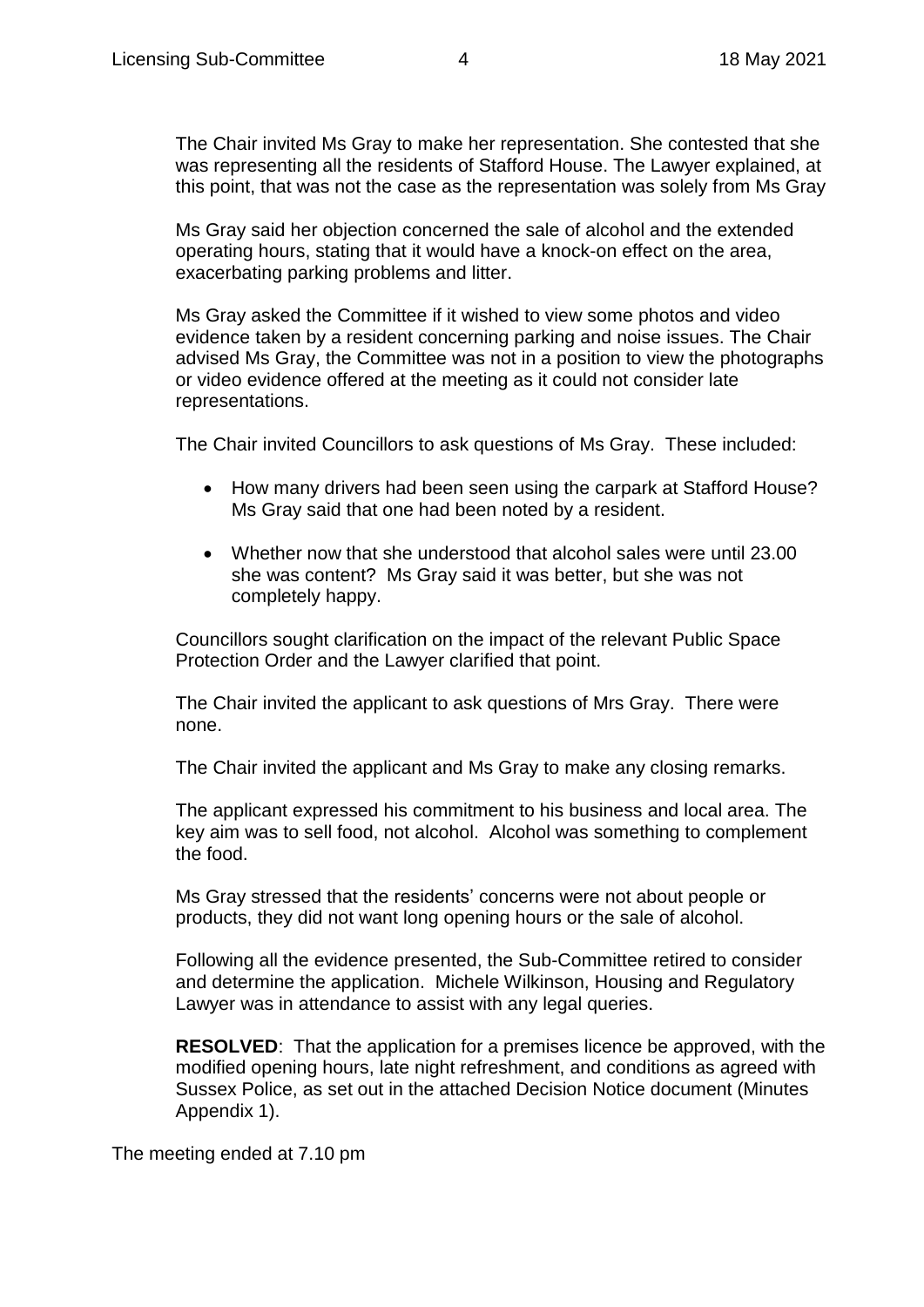The Chair invited Ms Gray to make her representation. She contested that she was representing all the residents of Stafford House. The Lawyer explained, at this point, that was not the case as the representation was solely from Ms Gray

Ms Gray said her objection concerned the sale of alcohol and the extended operating hours, stating that it would have a knock-on effect on the area, exacerbating parking problems and litter.

Ms Gray asked the Committee if it wished to view some photos and video evidence taken by a resident concerning parking and noise issues. The Chair advised Ms Gray, the Committee was not in a position to view the photographs or video evidence offered at the meeting as it could not consider late representations.

The Chair invited Councillors to ask questions of Ms Gray. These included:

- How many drivers had been seen using the carpark at Stafford House? Ms Gray said that one had been noted by a resident.
- Whether now that she understood that alcohol sales were until 23.00 she was content? Ms Gray said it was better, but she was not completely happy.

Councillors sought clarification on the impact of the relevant Public Space Protection Order and the Lawyer clarified that point.

The Chair invited the applicant to ask questions of Mrs Gray. There were none.

The Chair invited the applicant and Ms Gray to make any closing remarks.

The applicant expressed his commitment to his business and local area. The key aim was to sell food, not alcohol. Alcohol was something to complement the food.

Ms Gray stressed that the residents' concerns were not about people or products, they did not want long opening hours or the sale of alcohol.

Following all the evidence presented, the Sub-Committee retired to consider and determine the application. Michele Wilkinson, Housing and Regulatory Lawyer was in attendance to assist with any legal queries.

**RESOLVED**: That the application for a premises licence be approved, with the modified opening hours, late night refreshment, and conditions as agreed with Sussex Police, as set out in the attached Decision Notice document (Minutes Appendix 1).

The meeting ended at 7.10 pm